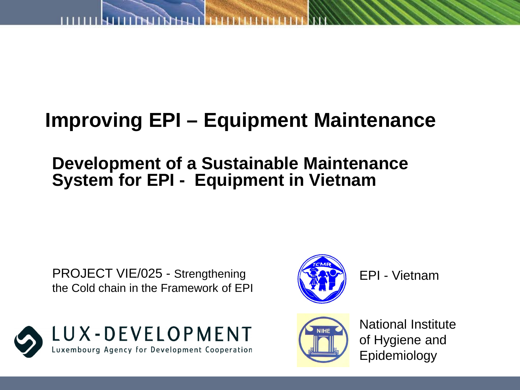## **Improving EPI – Equipment Maintenance**

#### **Development of a Sustainable Maintenance System for EPI - Equipment in Vietnam**

PROJECT VIE/025 - Strengthening the Cold chain in the Framework of EPI

LUX - DEVELOPMENT



EPI - Vietnam



National Institute of Hygiene and Epidemiology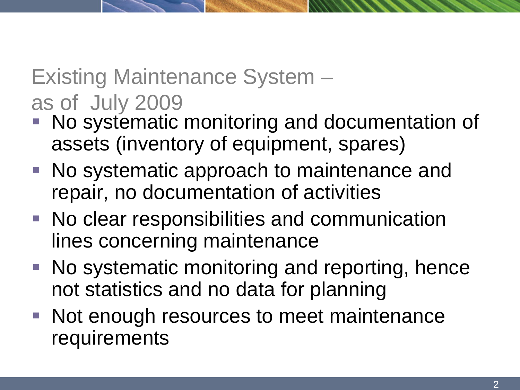# Existing Maintenance System – as of July 2009

- No systematic monitoring and documentation of assets (inventory of equipment, spares)
- No systematic approach to maintenance and repair, no documentation of activities
- No clear responsibilities and communication lines concerning maintenance
- No systematic monitoring and reporting, hence not statistics and no data for planning
- Not enough resources to meet maintenance requirements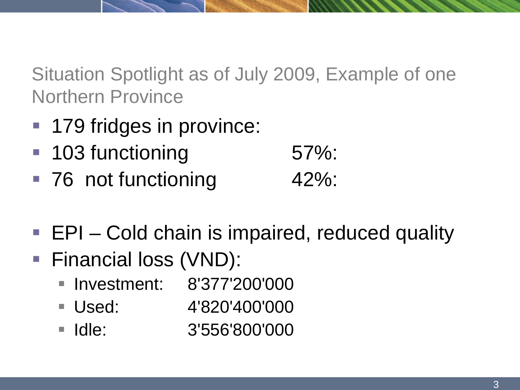Situation Spotlight as of July 2009, Example of one Northern Province

- 179 fridges in province:
- 103 functioning 57%:
- 76 not functioning 42%:
- EPI Cold chain is impaired, reduced quality
- Financial loss (VND):
	- **Investment: 8'377'200'000**
	- Used: 4'820'400'000
	- Idle: 3'556'800'000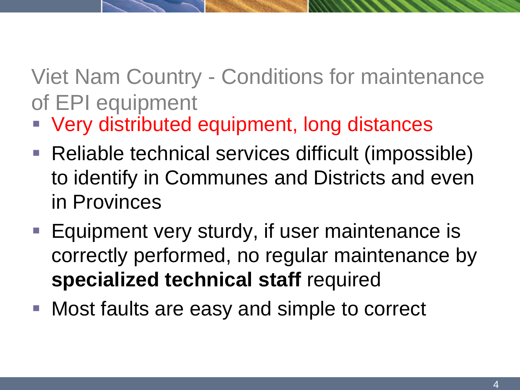# Viet Nam Country - Conditions for maintenance of EPI equipment

- **Very distributed equipment, long distances**
- Reliable technical services difficult (impossible) to identify in Communes and Districts and even in Provinces
- Equipment very sturdy, if user maintenance is correctly performed, no regular maintenance by **specialized technical staff** required
- Most faults are easy and simple to correct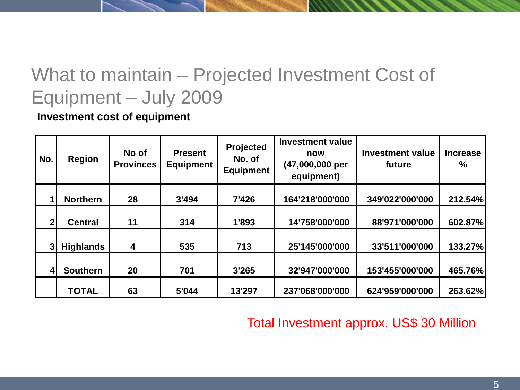#### What to maintain – Projected Investment Cost of Equipment – July 2009

**Investment cost of equipment**

| No. | <b>Region</b>    | No of<br><b>Provinces</b> | <b>Present</b><br><b>Equipment</b> | Projected<br>No. of<br><b>Equipment</b> | <b>Investment value</b><br>now<br>(47,000,000 per<br>equipment) | <b>Investment value</b><br>future | <b>Increase</b><br>% |
|-----|------------------|---------------------------|------------------------------------|-----------------------------------------|-----------------------------------------------------------------|-----------------------------------|----------------------|
|     |                  |                           |                                    |                                         |                                                                 |                                   |                      |
|     | <b>Northern</b>  | 28                        | 3'494                              | 7'426                                   | 164'218'000'000                                                 | 349'022'000'000                   | 212.54%              |
|     |                  |                           |                                    |                                         |                                                                 |                                   |                      |
| 2   | <b>Central</b>   | 11                        | 314                                | 1'893                                   | 14'758'000'000                                                  | 88'971'000'000                    | 602.87%              |
|     |                  |                           |                                    |                                         |                                                                 |                                   |                      |
|     | <b>Highlands</b> | 4                         | 535                                | 713                                     | 25'145'000'000                                                  | 33'511'000'000                    | 133.27%              |
|     |                  |                           |                                    |                                         |                                                                 |                                   |                      |
| 4   | <b>Southern</b>  | 20                        | 701                                | 3'265                                   | 32'947'000'000                                                  | 153'455'000'000                   | 465.76%              |
|     | <b>TOTAL</b>     | 63                        | 5'044                              | 13'297                                  | 237'068'000'000                                                 | 624'959'000'000                   | 263.62%              |

Total Investment approx. US\$ 30 Million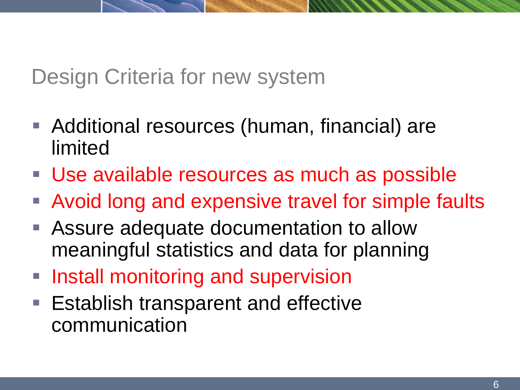#### Design Criteria for new system

- Additional resources (human, financial) are limited
- **Use available resources as much as possible**
- Avoid long and expensive travel for simple faults
- Assure adequate documentation to allow meaningful statistics and data for planning
- **Install monitoring and supervision**
- Establish transparent and effective communication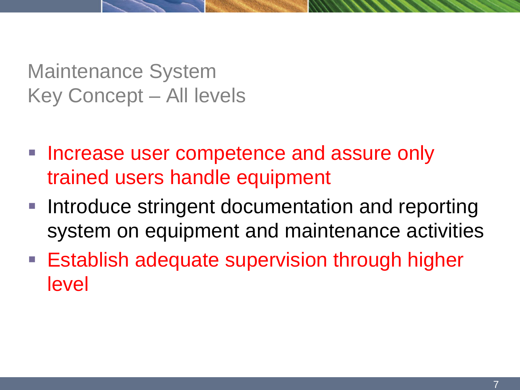Maintenance System Key Concept – All levels

- **Increase user competence and assure only** trained users handle equipment
- **Introduce stringent documentation and reporting** system on equipment and maintenance activities
- **Establish adequate supervision through higher** level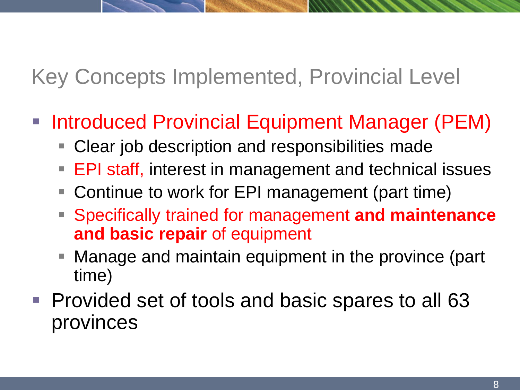# Key Concepts Implemented, Provincial Level

- Introduced Provincial Equipment Manager (PEM)
	- Clear job description and responsibilities made
	- **EPI staff, interest in management and technical issues**
	- Continue to work for EPI management (part time)
	- Specifically trained for management **and maintenance and basic repair** of equipment
	- Manage and maintain equipment in the province (part time)
- **Provided set of tools and basic spares to all 63** provinces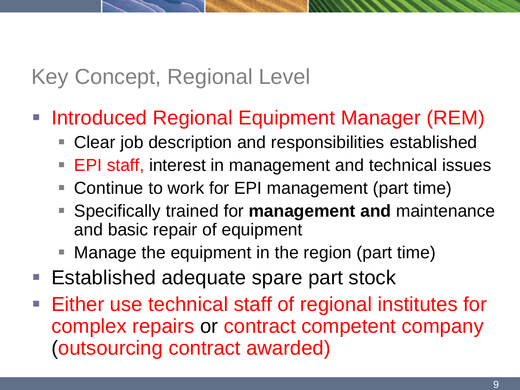## Key Concept, Regional Level

- Introduced Regional Equipment Manager (REM)
	- Clear job description and responsibilities established
	- EPI staff, interest in management and technical issues
	- Continue to work for EPI management (part time)
	- Specifically trained for **management and** maintenance and basic repair of equipment
	- Manage the equipment in the region (part time)
- Established adequate spare part stock
- Either use technical staff of regional institutes for complex repairs or contract competent company (outsourcing contract awarded)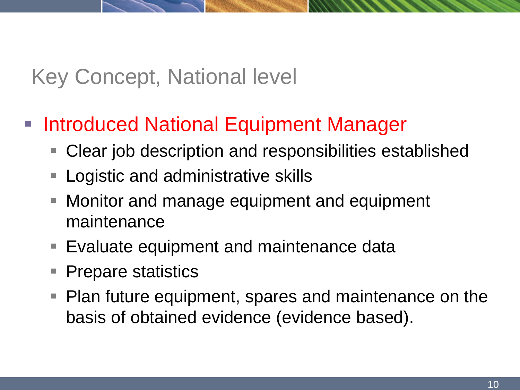## Key Concept, National level

#### **Introduced National Equipment Manager**

- Clear job description and responsibilities established
- **Logistic and administrative skills**
- Monitor and manage equipment and equipment maintenance
- Evaluate equipment and maintenance data
- **Prepare statistics**
- Plan future equipment, spares and maintenance on the basis of obtained evidence (evidence based).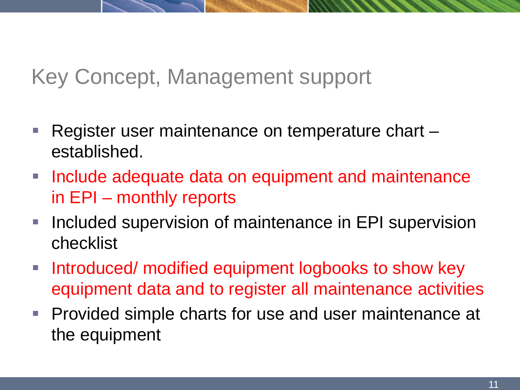### Key Concept, Management support

- Register user maintenance on temperature chart  $$ established.
- **Include adequate data on equipment and maintenance** in EPI – monthly reports
- **Included supervision of maintenance in EPI supervision** checklist
- **Introduced/ modified equipment logbooks to show key** equipment data and to register all maintenance activities
- **Provided simple charts for use and user maintenance at** the equipment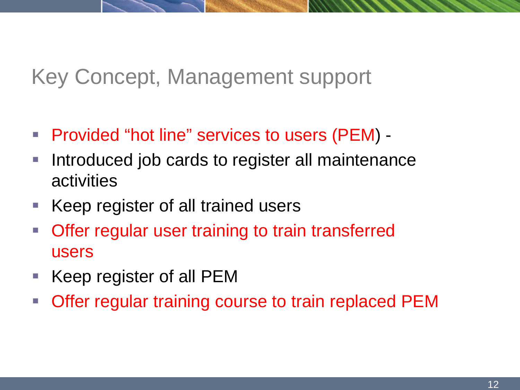### Key Concept, Management support

- Provided "hot line" services to users (PEM) -
- **Introduced job cards to register all maintenance** activities
- Keep register of all trained users
- **Offer regular user training to train transferred** users
- Keep register of all PEM
- **Offer regular training course to train replaced PEM**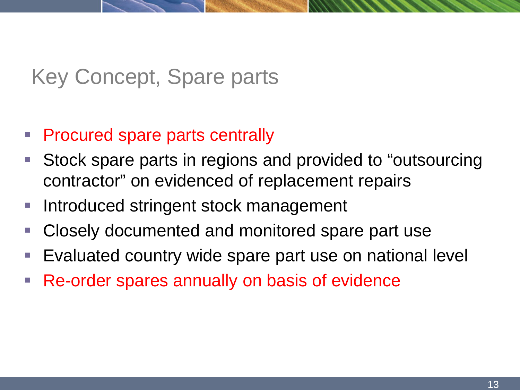## Key Concept, Spare parts

#### **Procured spare parts centrally**

- **Stock spare parts in regions and provided to "outsourcing"** contractor" on evidenced of replacement repairs
- Introduced stringent stock management
- **Closely documented and monitored spare part use**
- **Evaluated country wide spare part use on national level**
- **Re-order spares annually on basis of evidence**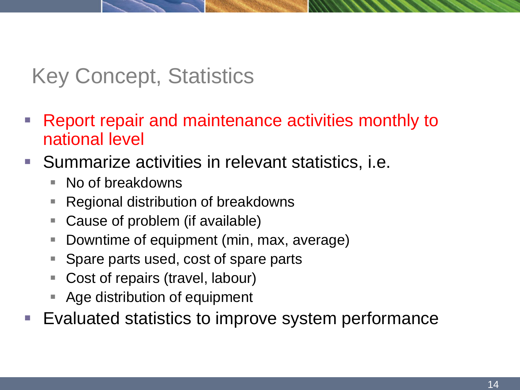#### Key Concept, Statistics

- **Report repair and maintenance activities monthly to** national level
- **Summarize activities in relevant statistics, i.e.** 
	- No of breakdowns
	- Regional distribution of breakdowns
	- Cause of problem (if available)
	- **Downtime of equipment (min, max, average)**
	- Spare parts used, cost of spare parts
	- Cost of repairs (travel, labour)
	- Age distribution of equipment
- **Evaluated statistics to improve system performance**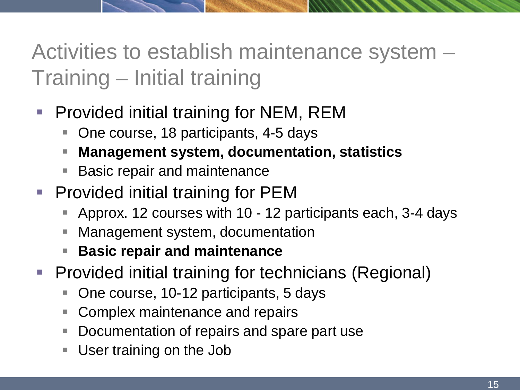# Activities to establish maintenance system – Training – Initial training

- **Provided initial training for NEM, REM** 
	- One course, 18 participants, 4-5 days
	- **Management system, documentation, statistics**
	- Basic repair and maintenance
- **Provided initial training for PEM** 
	- Approx. 12 courses with 10 12 participants each, 3-4 days
	- Management system, documentation
	- **Basic repair and maintenance**
- **Provided initial training for technicians (Regional)** 
	- One course, 10-12 participants, 5 days
	- Complex maintenance and repairs
	- Documentation of repairs and spare part use
	- User training on the Job